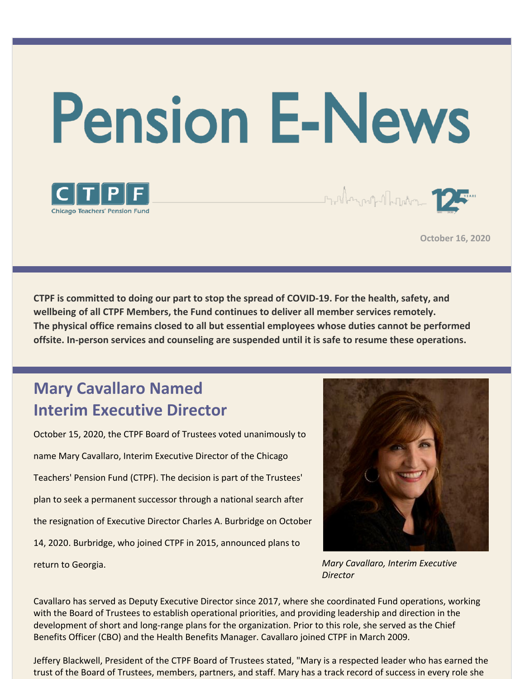



**October 16, 2020**

**CTPF is committed to doing our part to stop the spread of COVID-19. For the health, safety, and wellbeing of all CTPF Members, the Fund continues to deliver all member services remotely. The physical office remains closed to all but essential employees whose duties cannot be performed offsite. In-person services and counseling are suspended until it is safe to resume these operations.**

# **Mary Cavallaro Named Interim Executive Director**

October 15, 2020, the CTPF Board of Trustees voted unanimously to name Mary Cavallaro, Interim Executive Director of the Chicago Teachers' Pension Fund (CTPF). The decision is part of the Trustees' plan to seek a permanent successor through a national search after the resignation of Executive Director Charles A. Burbridge on October 14, 2020. Burbridge, who joined CTPF in 2015, announced plans to return to Georgia.



Staller and Marker 12

*Mary Cavallaro, Interim Executive Director*

Cavallaro has served as Deputy Executive Director since 2017, where she coordinated Fund operations, working with the Board of Trustees to establish operational priorities, and providing leadership and direction in the development of short and long-range plans for the organization. Prior to this role, she served as the Chief Benefits Officer (CBO) and the Health Benefits Manager. Cavallaro joined CTPF in March 2009.

Jeffery Blackwell, President of the CTPF Board of Trustees stated, "Mary is a respected leader who has earned the trust of the Board of Trustees, members, partners, and staff. Mary has a track record of success in every role she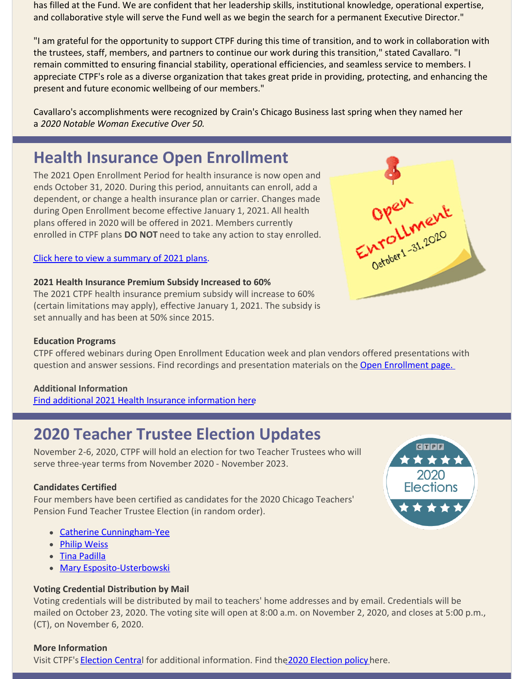has filled at the Fund. We are confident that her leadership skills, institutional knowledge, operational expertise, and collaborative style will serve the Fund well as we begin the search for a permanent Executive Director."

"I am grateful for the opportunity to support CTPF during this time of transition, and to work in collaboration with the trustees, staff, members, and partners to continue our work during this transition," stated Cavallaro. "I remain committed to ensuring financial stability, operational efficiencies, and seamless service to members. I appreciate CTPF's role as a diverse organization that takes great pride in providing, protecting, and enhancing the present and future economic wellbeing of our members."

Cavallaro's accomplishments were recognized by Crain's Chicago Business last spring when they named her a *2020 Notable Woman Executive Over 50.*

## **Health Insurance Open Enrollment**

The 2021 Open Enrollment Period for health insurance is now open and ends October 31, 2020. During this period, annuitants can enroll, add a dependent, or change a health insurance plan or carrier. Changes made during Open Enrollment become effective January 1, 2021. All health plans offered in 2020 will be offered in 2021. Members currently enrolled in CTPF plans **DO NOT** need to take any action to stay enrolled.

#### Click here to view a [summary](https://www.ctpf.org/sites/main/files/file-attachments/open_enrollment_updates___summary_1page_mailer_vk4_final.pdf) of 2021 plans.

#### **2021 Health Insurance Premium Subsidy Increased to 60%**

The 2021 CTPF health insurance premium subsidy will increase to 60% (certain limitations may apply), effective January 1, 2021. The subsidy is set annually and has been at 50% since 2015.

#### **Education Programs**

CTPF offered webinars during Open Enrollment Education week and plan vendors offered presentations with question and answer sessions. Find recordings and presentation materials on the Open [Enrollment](https://www.ctpf.org/open-enrollment) page.

#### **Additional Information**

Find additional 2021 Health Insurance [information](https://www.ctpf.org/open-enrollment) here.

### **2020 Teacher Trustee Election Updates**

November 2-6, 2020, CTPF will hold an election for two Teacher Trustees who will serve three-year terms from November 2020 - November 2023.

#### **Candidates Certified**

Four members have been certified as candidates for the 2020 Chicago Teachers' Pension Fund Teacher Trustee Election (in random order).

- Catherine [Cunningham-Yee](https://www.ctpf.org/post/catherine-cunningham-yee)
- Philip [Weiss](https://www.ctpf.org/post/philip-weiss)
- Tina [Padilla](https://www.ctpf.org/post/tina-padilla)
- Mary [Esposito-Usterbowski](https://www.ctpf.org/post/mary-esposito-usterbowski)

### **Voting Credential Distribution by Mail**

Voting credentials will be distributed by mail to teachers' home addresses and by email. Credentials will be mailed on October 23, 2020. The voting site will open at 8:00 a.m. on November 2, 2020, and closes at 5:00 p.m., (CT), on November 6, 2020.

#### **More Information**

Visit CTPF's [Election](https://www.ctpf.org/sites/main/files/file-attachments/amended_election_policy_8.21.20_djh.pdf) Central for additional information. Find the 2020 Election policy here.



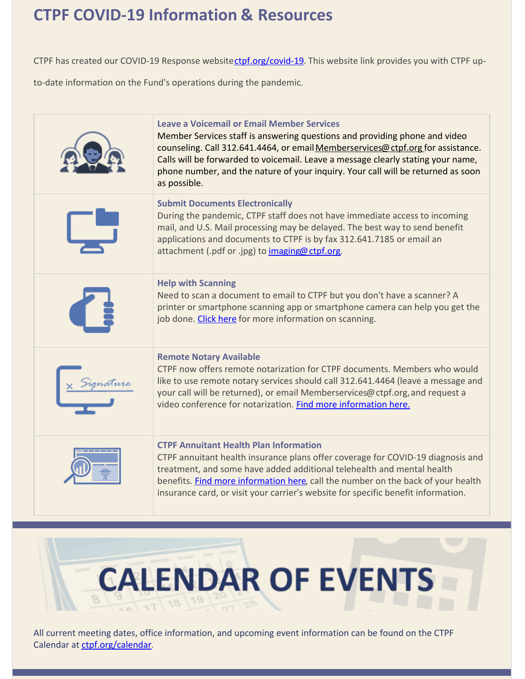# **CTPF COVID-19 Information & Resources**

CTPF has created our COVID-19 Response website[ctpf.org/covid-19](http://ctpf.org/covid-19). This website link provides you with CTPF up-

to-date information on the Fund's operations during the pandemic.

| <b>Leave a Voicemail or Email Member Services</b><br>Member Services staff is answering questions and providing phone and video<br>counseling. Call 312.641.4464, or email Memberservices@ctpf.org for assistance.<br>Calls will be forwarded to voicemail. Leave a message clearly stating your name,<br>phone number, and the nature of your inquiry. Your call will be returned as soon<br>as possible. |
|------------------------------------------------------------------------------------------------------------------------------------------------------------------------------------------------------------------------------------------------------------------------------------------------------------------------------------------------------------------------------------------------------------|
| <b>Submit Documents Electronically</b><br>During the pandemic, CTPF staff does not have immediate access to incoming<br>mail, and U.S. Mail processing may be delayed. The best way to send benefit<br>applications and documents to CTPF is by fax 312.641.7185 or email an<br>attachment (.pdf or .jpg) to <i>imaging@ ctpf.org.</i>                                                                     |
| <b>Help with Scanning</b><br>Need to scan a document to email to CTPF but you don't have a scanner? A<br>printer or smartphone scanning app or smartphone camera can help you get the<br>job done. Click here for more information on scanning.                                                                                                                                                            |
| <b>Remote Notary Available</b><br>CTPF now offers remote notarization for CTPF documents. Members who would<br>like to use remote notary services should call 312.641.4464 (leave a message and<br>your call will be returned), or email Memberservices@ctpf.org, and request a<br>video conference for notarization. Find more information here.                                                          |
| <b>CTPF Annuitant Health Plan Information</b><br>CTPF annuitant health insurance plans offer coverage for COVID-19 diagnosis and<br>treatment, and some have added additional telehealth and mental health<br>benefits. Find more information here, call the number on the back of your health<br>insurance card, or visit your carrier's website for specific benefit information.                        |



All current meeting dates, office information, and upcoming event information can be found on the CTPF Calendar at [ctpf.org/calendar](http://www.ctpf.org/calendar).